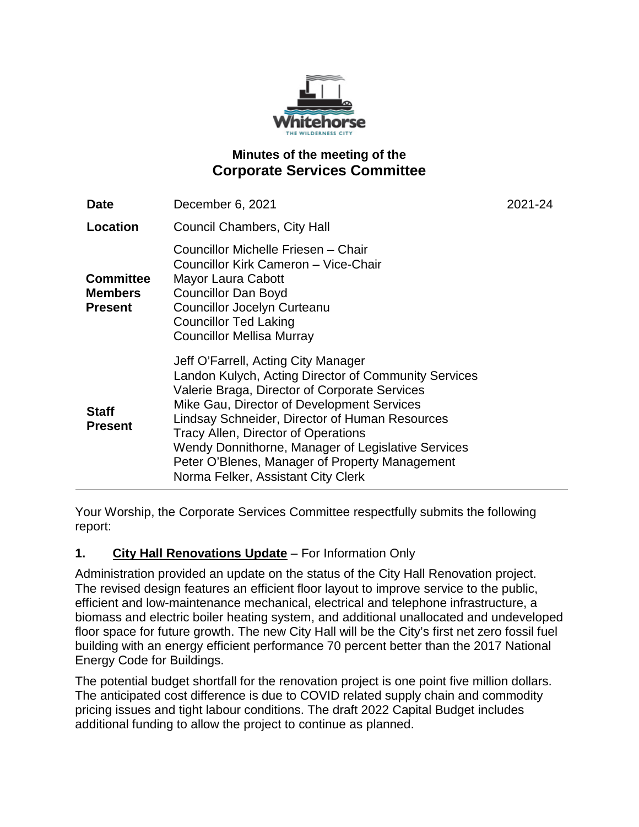

# **Minutes of the meeting of the Corporate Services Committee**

| <b>Date</b>                                          | December 6, 2021                                                                                                                                                                                                                                                                                                                                                                                                                  | 2021-24 |
|------------------------------------------------------|-----------------------------------------------------------------------------------------------------------------------------------------------------------------------------------------------------------------------------------------------------------------------------------------------------------------------------------------------------------------------------------------------------------------------------------|---------|
| <b>Location</b>                                      | <b>Council Chambers, City Hall</b>                                                                                                                                                                                                                                                                                                                                                                                                |         |
| <b>Committee</b><br><b>Members</b><br><b>Present</b> | Councillor Michelle Friesen - Chair<br>Councillor Kirk Cameron - Vice-Chair<br>Mayor Laura Cabott<br><b>Councillor Dan Boyd</b><br><b>Councillor Jocelyn Curteanu</b><br><b>Councillor Ted Laking</b><br><b>Councillor Mellisa Murray</b>                                                                                                                                                                                         |         |
| <b>Staff</b><br><b>Present</b>                       | Jeff O'Farrell, Acting City Manager<br>Landon Kulych, Acting Director of Community Services<br>Valerie Braga, Director of Corporate Services<br>Mike Gau, Director of Development Services<br>Lindsay Schneider, Director of Human Resources<br>Tracy Allen, Director of Operations<br>Wendy Donnithorne, Manager of Legislative Services<br>Peter O'Blenes, Manager of Property Management<br>Norma Felker, Assistant City Clerk |         |

Your Worship, the Corporate Services Committee respectfully submits the following report:

# **1. City Hall Renovations Update** – For Information Only

Administration provided an update on the status of the City Hall Renovation project. The revised design features an efficient floor layout to improve service to the public, efficient and low-maintenance mechanical, electrical and telephone infrastructure, a biomass and electric boiler heating system, and additional unallocated and undeveloped floor space for future growth. The new City Hall will be the City's first net zero fossil fuel building with an energy efficient performance 70 percent better than the 2017 National Energy Code for Buildings.

The potential budget shortfall for the renovation project is one point five million dollars. The anticipated cost difference is due to COVID related supply chain and commodity pricing issues and tight labour conditions. The draft 2022 Capital Budget includes additional funding to allow the project to continue as planned.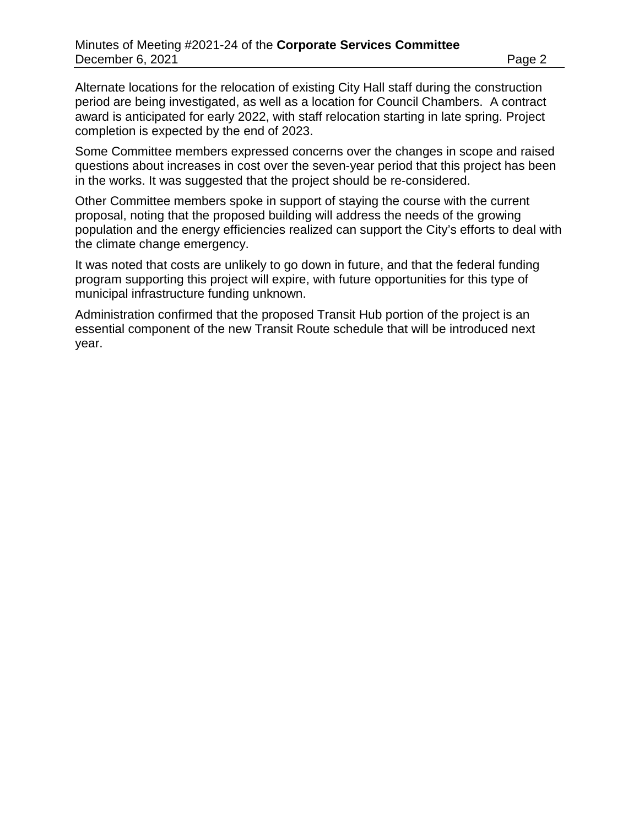Alternate locations for the relocation of existing City Hall staff during the construction period are being investigated, as well as a location for Council Chambers. A contract award is anticipated for early 2022, with staff relocation starting in late spring. Project completion is expected by the end of 2023.

Some Committee members expressed concerns over the changes in scope and raised questions about increases in cost over the seven-year period that this project has been in the works. It was suggested that the project should be re-considered.

Other Committee members spoke in support of staying the course with the current proposal, noting that the proposed building will address the needs of the growing population and the energy efficiencies realized can support the City's efforts to deal with the climate change emergency.

It was noted that costs are unlikely to go down in future, and that the federal funding program supporting this project will expire, with future opportunities for this type of municipal infrastructure funding unknown.

Administration confirmed that the proposed Transit Hub portion of the project is an essential component of the new Transit Route schedule that will be introduced next year.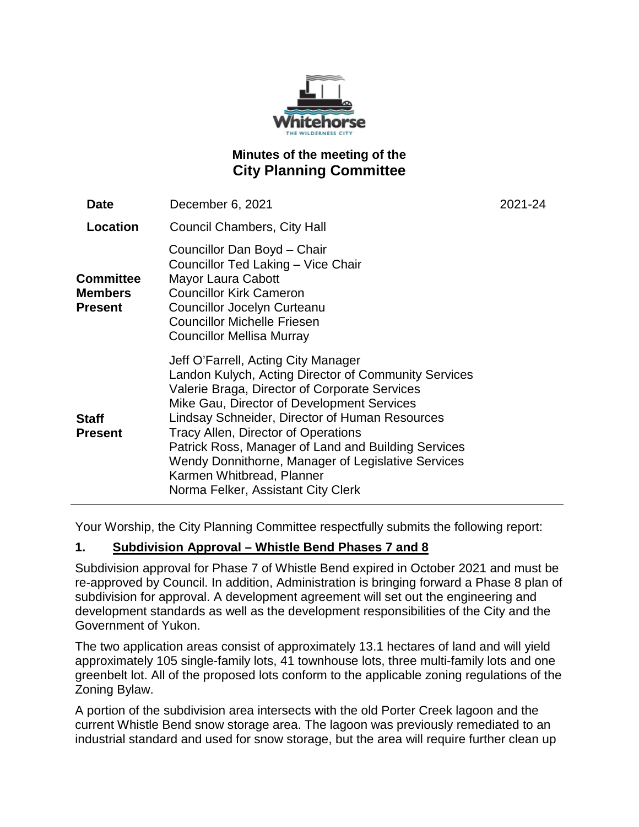

# **Minutes of the meeting of the City Planning Committee**

| <b>Date</b>                                          | December 6, 2021                                                                                                                                                                                                                                                                                                                                                                                                                                                    | 2021-24 |
|------------------------------------------------------|---------------------------------------------------------------------------------------------------------------------------------------------------------------------------------------------------------------------------------------------------------------------------------------------------------------------------------------------------------------------------------------------------------------------------------------------------------------------|---------|
| Location                                             | <b>Council Chambers, City Hall</b>                                                                                                                                                                                                                                                                                                                                                                                                                                  |         |
| <b>Committee</b><br><b>Members</b><br><b>Present</b> | Councillor Dan Boyd - Chair<br>Councillor Ted Laking - Vice Chair<br>Mayor Laura Cabott<br><b>Councillor Kirk Cameron</b><br>Councillor Jocelyn Curteanu<br><b>Councillor Michelle Friesen</b><br>Councillor Mellisa Murray                                                                                                                                                                                                                                         |         |
| <b>Staff</b><br><b>Present</b>                       | Jeff O'Farrell, Acting City Manager<br>Landon Kulych, Acting Director of Community Services<br>Valerie Braga, Director of Corporate Services<br>Mike Gau, Director of Development Services<br>Lindsay Schneider, Director of Human Resources<br>Tracy Allen, Director of Operations<br>Patrick Ross, Manager of Land and Building Services<br>Wendy Donnithorne, Manager of Legislative Services<br>Karmen Whitbread, Planner<br>Norma Felker, Assistant City Clerk |         |

Your Worship, the City Planning Committee respectfully submits the following report:

## **1. Subdivision Approval – Whistle Bend Phases 7 and 8**

Subdivision approval for Phase 7 of Whistle Bend expired in October 2021 and must be re-approved by Council. In addition, Administration is bringing forward a Phase 8 plan of subdivision for approval. A development agreement will set out the engineering and development standards as well as the development responsibilities of the City and the Government of Yukon.

The two application areas consist of approximately 13.1 hectares of land and will yield approximately 105 single-family lots, 41 townhouse lots, three multi-family lots and one greenbelt lot. All of the proposed lots conform to the applicable zoning regulations of the Zoning Bylaw.

A portion of the subdivision area intersects with the old Porter Creek lagoon and the current Whistle Bend snow storage area. The lagoon was previously remediated to an industrial standard and used for snow storage, but the area will require further clean up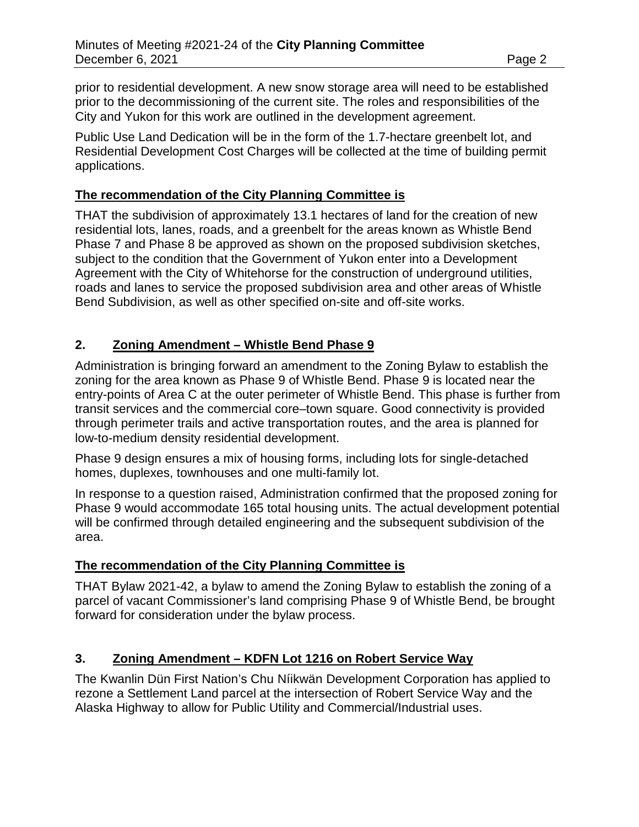prior to residential development. A new snow storage area will need to be established prior to the decommissioning of the current site. The roles and responsibilities of the City and Yukon for this work are outlined in the development agreement.

Public Use Land Dedication will be in the form of the 1.7-hectare greenbelt lot, and Residential Development Cost Charges will be collected at the time of building permit applications.

#### **The recommendation of the City Planning Committee is**

THAT the subdivision of approximately 13.1 hectares of land for the creation of new residential lots, lanes, roads, and a greenbelt for the areas known as Whistle Bend Phase 7 and Phase 8 be approved as shown on the proposed subdivision sketches, subject to the condition that the Government of Yukon enter into a Development Agreement with the City of Whitehorse for the construction of underground utilities, roads and lanes to service the proposed subdivision area and other areas of Whistle Bend Subdivision, as well as other specified on-site and off-site works.

## **2. Zoning Amendment – Whistle Bend Phase 9**

Administration is bringing forward an amendment to the Zoning Bylaw to establish the zoning for the area known as Phase 9 of Whistle Bend. Phase 9 is located near the entry-points of Area C at the outer perimeter of Whistle Bend. This phase is further from transit services and the commercial core–town square. Good connectivity is provided through perimeter trails and active transportation routes, and the area is planned for low-to-medium density residential development.

Phase 9 design ensures a mix of housing forms, including lots for single-detached homes, duplexes, townhouses and one multi-family lot.

In response to a question raised, Administration confirmed that the proposed zoning for Phase 9 would accommodate 165 total housing units. The actual development potential will be confirmed through detailed engineering and the subsequent subdivision of the area.

#### **The recommendation of the City Planning Committee is**

THAT Bylaw 2021-42, a bylaw to amend the Zoning Bylaw to establish the zoning of a parcel of vacant Commissioner's land comprising Phase 9 of Whistle Bend, be brought forward for consideration under the bylaw process.

## **3. Zoning Amendment – KDFN Lot 1216 on Robert Service Way**

The Kwanlin Dün First Nation's Chu Níikwän Development Corporation has applied to rezone a Settlement Land parcel at the intersection of Robert Service Way and the Alaska Highway to allow for Public Utility and Commercial/Industrial uses.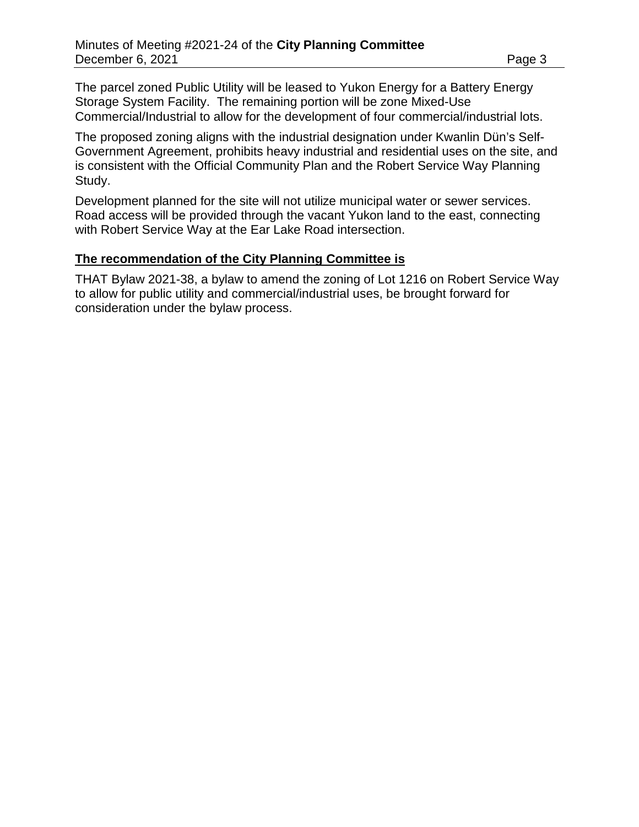The parcel zoned Public Utility will be leased to Yukon Energy for a Battery Energy Storage System Facility. The remaining portion will be zone Mixed-Use Commercial/Industrial to allow for the development of four commercial/industrial lots.

The proposed zoning aligns with the industrial designation under Kwanlin Dün's Self-Government Agreement, prohibits heavy industrial and residential uses on the site, and is consistent with the Official Community Plan and the Robert Service Way Planning Study.

Development planned for the site will not utilize municipal water or sewer services. Road access will be provided through the vacant Yukon land to the east, connecting with Robert Service Way at the Ear Lake Road intersection.

#### **The recommendation of the City Planning Committee is**

THAT Bylaw 2021-38, a bylaw to amend the zoning of Lot 1216 on Robert Service Way to allow for public utility and commercial/industrial uses, be brought forward for consideration under the bylaw process.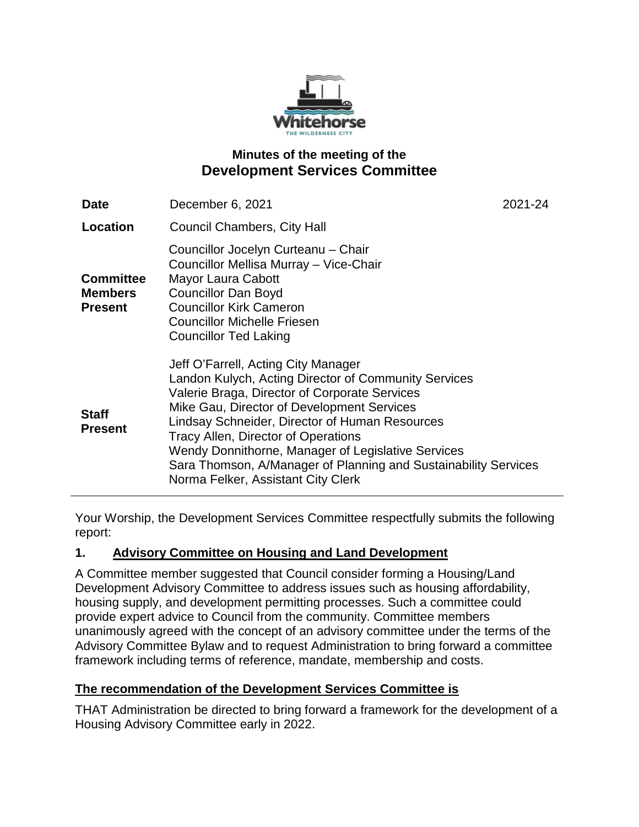

## **Minutes of the meeting of the Development Services Committee**

| <b>Date</b>                                          | December 6, 2021                                                                                                                                                                                                                                                                                                                                                                                                                                   | 2021-24 |
|------------------------------------------------------|----------------------------------------------------------------------------------------------------------------------------------------------------------------------------------------------------------------------------------------------------------------------------------------------------------------------------------------------------------------------------------------------------------------------------------------------------|---------|
| Location                                             | <b>Council Chambers, City Hall</b>                                                                                                                                                                                                                                                                                                                                                                                                                 |         |
| <b>Committee</b><br><b>Members</b><br><b>Present</b> | Councillor Jocelyn Curteanu - Chair<br>Councillor Mellisa Murray - Vice-Chair<br>Mayor Laura Cabott<br><b>Councillor Dan Boyd</b><br><b>Councillor Kirk Cameron</b><br><b>Councillor Michelle Friesen</b><br><b>Councillor Ted Laking</b>                                                                                                                                                                                                          |         |
| <b>Staff</b><br><b>Present</b>                       | Jeff O'Farrell, Acting City Manager<br>Landon Kulych, Acting Director of Community Services<br>Valerie Braga, Director of Corporate Services<br>Mike Gau, Director of Development Services<br>Lindsay Schneider, Director of Human Resources<br>Tracy Allen, Director of Operations<br>Wendy Donnithorne, Manager of Legislative Services<br>Sara Thomson, A/Manager of Planning and Sustainability Services<br>Norma Felker, Assistant City Clerk |         |

Your Worship, the Development Services Committee respectfully submits the following report:

## **1. Advisory Committee on Housing and Land Development**

A Committee member suggested that Council consider forming a Housing/Land Development Advisory Committee to address issues such as housing affordability, housing supply, and development permitting processes. Such a committee could provide expert advice to Council from the community. Committee members unanimously agreed with the concept of an advisory committee under the terms of the Advisory Committee Bylaw and to request Administration to bring forward a committee framework including terms of reference, mandate, membership and costs.

#### **The recommendation of the Development Services Committee is**

THAT Administration be directed to bring forward a framework for the development of a Housing Advisory Committee early in 2022.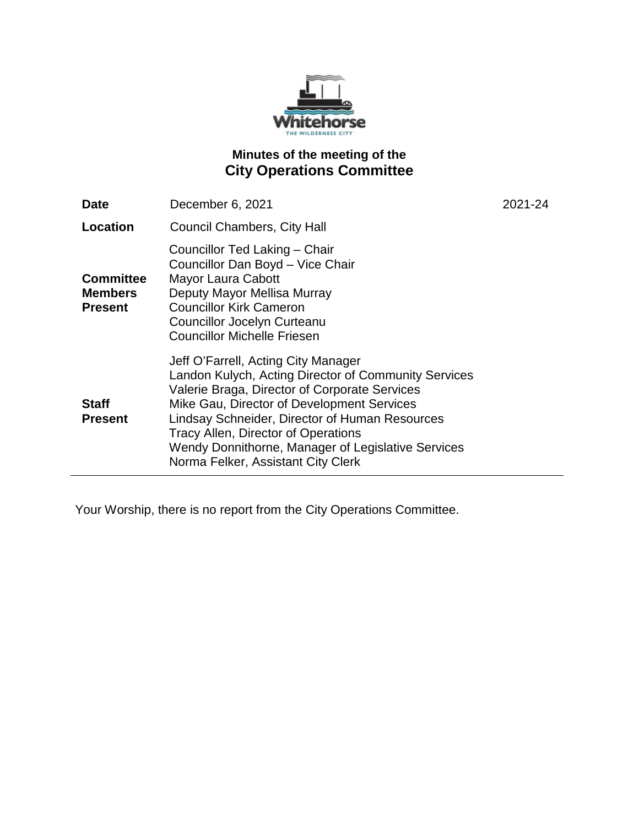

# **Minutes of the meeting of the City Operations Committee**

| <b>Date</b>                                          | December 6, 2021                                                                                                                                                                                                                                                                                                                                                                       | 2021-24 |
|------------------------------------------------------|----------------------------------------------------------------------------------------------------------------------------------------------------------------------------------------------------------------------------------------------------------------------------------------------------------------------------------------------------------------------------------------|---------|
| Location                                             | <b>Council Chambers, City Hall</b>                                                                                                                                                                                                                                                                                                                                                     |         |
| <b>Committee</b><br><b>Members</b><br><b>Present</b> | Councillor Ted Laking - Chair<br>Councillor Dan Boyd - Vice Chair<br>Mayor Laura Cabott<br>Deputy Mayor Mellisa Murray<br><b>Councillor Kirk Cameron</b><br><b>Councillor Jocelyn Curteanu</b><br><b>Councillor Michelle Friesen</b>                                                                                                                                                   |         |
| <b>Staff</b><br><b>Present</b>                       | Jeff O'Farrell, Acting City Manager<br>Landon Kulych, Acting Director of Community Services<br>Valerie Braga, Director of Corporate Services<br>Mike Gau, Director of Development Services<br>Lindsay Schneider, Director of Human Resources<br><b>Tracy Allen, Director of Operations</b><br>Wendy Donnithorne, Manager of Legislative Services<br>Norma Felker, Assistant City Clerk |         |

Your Worship, there is no report from the City Operations Committee.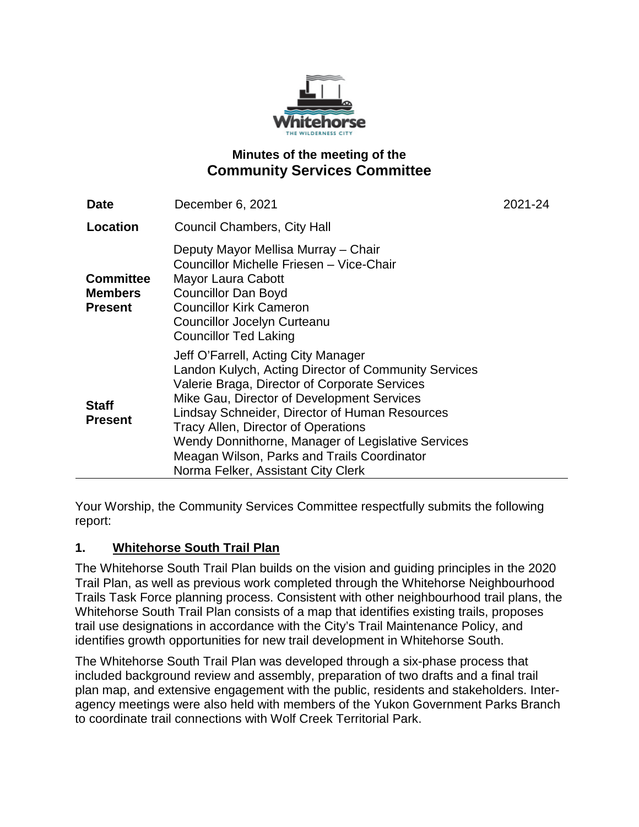

## **Minutes of the meeting of the Community Services Committee**

| <b>Date</b>                                          | December 6, 2021                                                                                                                                                                                                                                                                                                                                                                                                               | 2021-24 |
|------------------------------------------------------|--------------------------------------------------------------------------------------------------------------------------------------------------------------------------------------------------------------------------------------------------------------------------------------------------------------------------------------------------------------------------------------------------------------------------------|---------|
| Location                                             | <b>Council Chambers, City Hall</b>                                                                                                                                                                                                                                                                                                                                                                                             |         |
| <b>Committee</b><br><b>Members</b><br><b>Present</b> | Deputy Mayor Mellisa Murray - Chair<br>Councillor Michelle Friesen - Vice-Chair<br>Mayor Laura Cabott<br><b>Councillor Dan Boyd</b><br><b>Councillor Kirk Cameron</b><br><b>Councillor Jocelyn Curteanu</b><br><b>Councillor Ted Laking</b>                                                                                                                                                                                    |         |
| <b>Staff</b><br><b>Present</b>                       | Jeff O'Farrell, Acting City Manager<br>Landon Kulych, Acting Director of Community Services<br>Valerie Braga, Director of Corporate Services<br>Mike Gau, Director of Development Services<br>Lindsay Schneider, Director of Human Resources<br>Tracy Allen, Director of Operations<br>Wendy Donnithorne, Manager of Legislative Services<br>Meagan Wilson, Parks and Trails Coordinator<br>Norma Felker, Assistant City Clerk |         |

Your Worship, the Community Services Committee respectfully submits the following report:

## **1. Whitehorse South Trail Plan**

The Whitehorse South Trail Plan builds on the vision and guiding principles in the 2020 Trail Plan, as well as previous work completed through the Whitehorse Neighbourhood Trails Task Force planning process. Consistent with other neighbourhood trail plans, the Whitehorse South Trail Plan consists of a map that identifies existing trails, proposes trail use designations in accordance with the City's Trail Maintenance Policy, and identifies growth opportunities for new trail development in Whitehorse South.

The Whitehorse South Trail Plan was developed through a six-phase process that included background review and assembly, preparation of two drafts and a final trail plan map, and extensive engagement with the public, residents and stakeholders. Interagency meetings were also held with members of the Yukon Government Parks Branch to coordinate trail connections with Wolf Creek Territorial Park.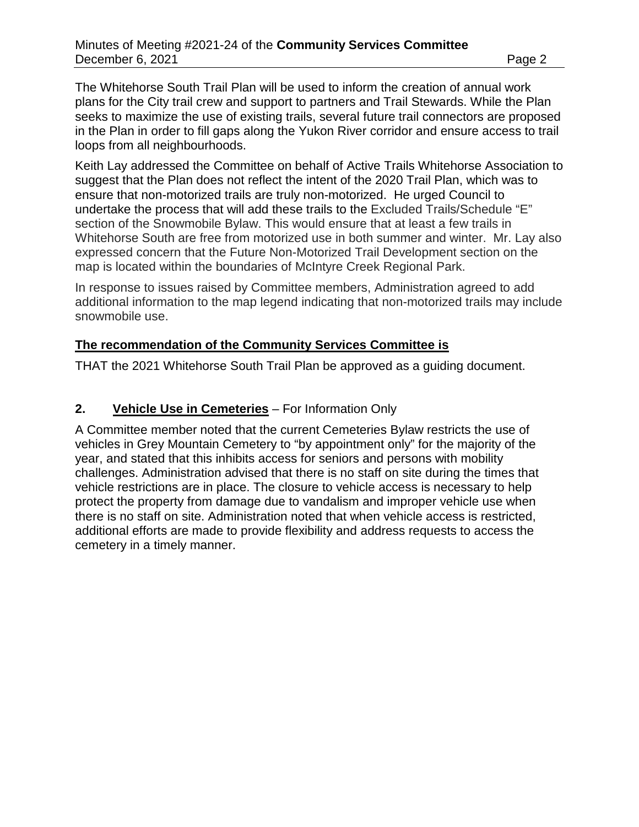The Whitehorse South Trail Plan will be used to inform the creation of annual work plans for the City trail crew and support to partners and Trail Stewards. While the Plan seeks to maximize the use of existing trails, several future trail connectors are proposed in the Plan in order to fill gaps along the Yukon River corridor and ensure access to trail loops from all neighbourhoods.

Keith Lay addressed the Committee on behalf of Active Trails Whitehorse Association to suggest that the Plan does not reflect the intent of the 2020 Trail Plan, which was to ensure that non-motorized trails are truly non-motorized. He urged Council to undertake the process that will add these trails to the Excluded Trails/Schedule "E" section of the Snowmobile Bylaw. This would ensure that at least a few trails in Whitehorse South are free from motorized use in both summer and winter. Mr. Lay also expressed concern that the Future Non-Motorized Trail Development section on the map is located within the boundaries of McIntyre Creek Regional Park.

In response to issues raised by Committee members, Administration agreed to add additional information to the map legend indicating that non-motorized trails may include snowmobile use.

#### **The recommendation of the Community Services Committee is**

THAT the 2021 Whitehorse South Trail Plan be approved as a guiding document.

#### **2. Vehicle Use in Cemeteries** – For Information Only

A Committee member noted that the current Cemeteries Bylaw restricts the use of vehicles in Grey Mountain Cemetery to "by appointment only" for the majority of the year, and stated that this inhibits access for seniors and persons with mobility challenges. Administration advised that there is no staff on site during the times that vehicle restrictions are in place. The closure to vehicle access is necessary to help protect the property from damage due to vandalism and improper vehicle use when there is no staff on site. Administration noted that when vehicle access is restricted, additional efforts are made to provide flexibility and address requests to access the cemetery in a timely manner.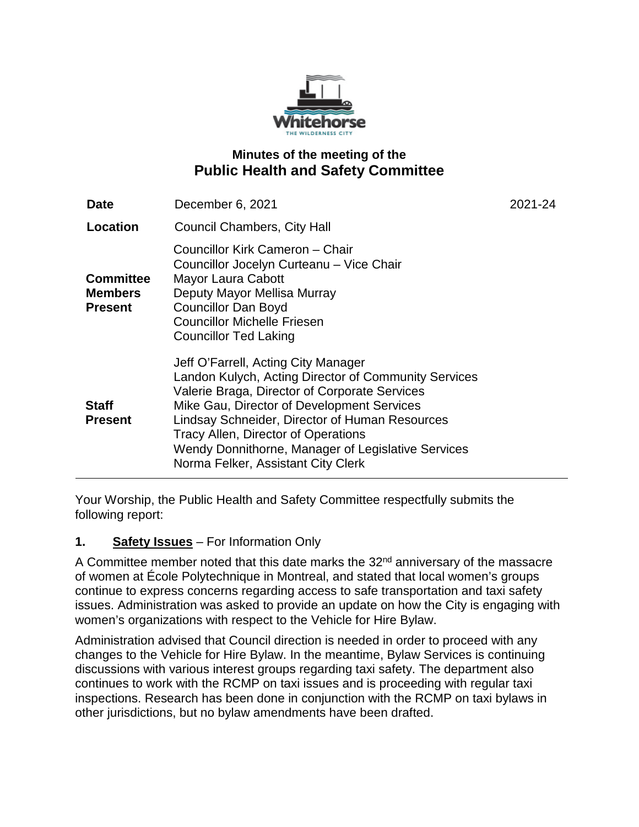

# **Minutes of the meeting of the Public Health and Safety Committee**

| Date                                                 | December 6, 2021                                                                                                                                                                                                                                                                                                                                                                | 2021-24 |
|------------------------------------------------------|---------------------------------------------------------------------------------------------------------------------------------------------------------------------------------------------------------------------------------------------------------------------------------------------------------------------------------------------------------------------------------|---------|
| Location                                             | <b>Council Chambers, City Hall</b>                                                                                                                                                                                                                                                                                                                                              |         |
| <b>Committee</b><br><b>Members</b><br><b>Present</b> | Councillor Kirk Cameron – Chair<br>Councillor Jocelyn Curteanu - Vice Chair<br><b>Mayor Laura Cabott</b><br>Deputy Mayor Mellisa Murray<br><b>Councillor Dan Boyd</b><br><b>Councillor Michelle Friesen</b><br><b>Councillor Ted Laking</b>                                                                                                                                     |         |
| <b>Staff</b><br><b>Present</b>                       | Jeff O'Farrell, Acting City Manager<br>Landon Kulych, Acting Director of Community Services<br>Valerie Braga, Director of Corporate Services<br>Mike Gau, Director of Development Services<br>Lindsay Schneider, Director of Human Resources<br>Tracy Allen, Director of Operations<br>Wendy Donnithorne, Manager of Legislative Services<br>Norma Felker, Assistant City Clerk |         |

Your Worship, the Public Health and Safety Committee respectfully submits the following report:

## **1. Safety Issues** – For Information Only

A Committee member noted that this date marks the  $32<sup>nd</sup>$  anniversary of the massacre of women at École Polytechnique in Montreal, and stated that local women's groups continue to express concerns regarding access to safe transportation and taxi safety issues. Administration was asked to provide an update on how the City is engaging with women's organizations with respect to the Vehicle for Hire Bylaw.

Administration advised that Council direction is needed in order to proceed with any changes to the Vehicle for Hire Bylaw. In the meantime, Bylaw Services is continuing discussions with various interest groups regarding taxi safety. The department also continues to work with the RCMP on taxi issues and is proceeding with regular taxi inspections. Research has been done in conjunction with the RCMP on taxi bylaws in other jurisdictions, but no bylaw amendments have been drafted.